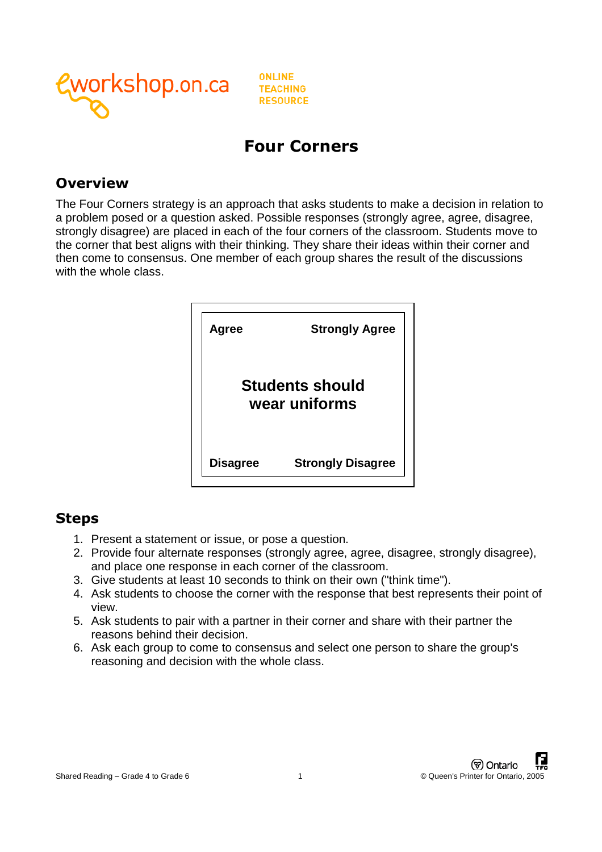

**ONLINE TEACHING RESOURCE** 

## **Four Corners**

#### **Overview**

The Four Corners strategy is an approach that asks students to make a decision in relation to a problem posed or a question asked. Possible responses (strongly agree, agree, disagree, strongly disagree) are placed in each of the four corners of the classroom. Students move to the corner that best aligns with their thinking. They share their ideas within their corner and then come to consensus. One member of each group shares the result of the discussions with the whole class.



### **Steps**

- 1. Present a statement or issue, or pose a question.
- 2. Provide four alternate responses (strongly agree, agree, disagree, strongly disagree), and place one response in each corner of the classroom.
- 3. Give students at least 10 seconds to think on their own ("think time").
- 4. Ask students to choose the corner with the response that best represents their point of view.
- 5. Ask students to pair with a partner in their corner and share with their partner the reasons behind their decision.
- 6. Ask each group to come to consensus and select one person to share the group's reasoning and decision with the whole class.